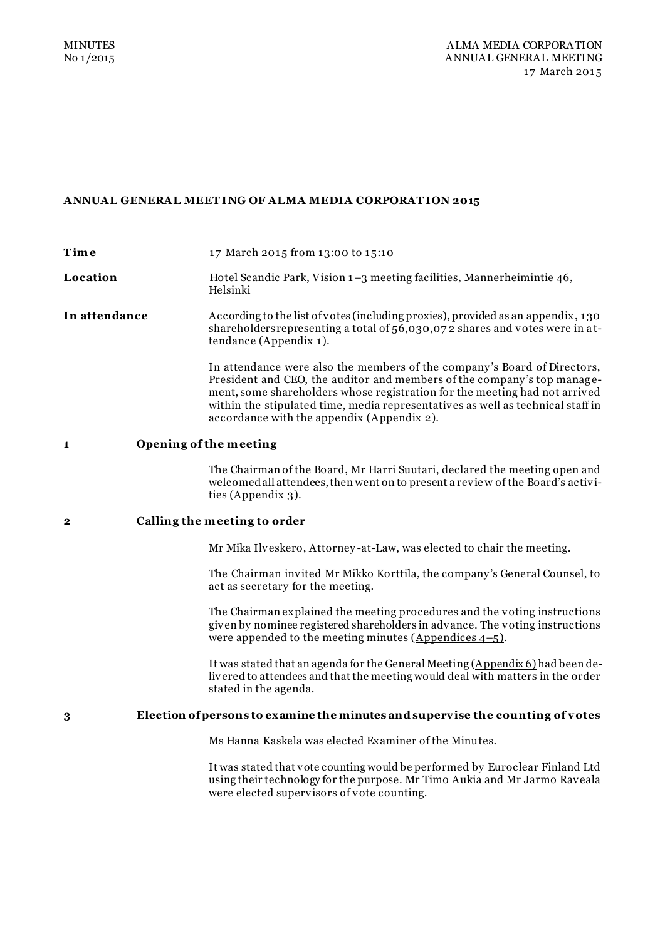# **ANNUAL GENERAL MEET ING OF ALMA MEDIA CORPORAT ION 2015**

| Time          | 17 March 2015 from 13:00 to 15:10                                                                                                                                                                                                                                                                                                                                  |
|---------------|--------------------------------------------------------------------------------------------------------------------------------------------------------------------------------------------------------------------------------------------------------------------------------------------------------------------------------------------------------------------|
| Location      | Hotel Scandic Park, Vision 1-3 meeting facilities, Mannerheimintie 46,<br>Helsinki                                                                                                                                                                                                                                                                                 |
| In attendance | According to the list of votes (including proxies), provided as an appendix, 130<br>shareholders representing a total of 56,030,072 shares and votes were in at-<br>tendance (Appendix 1).                                                                                                                                                                         |
|               | In attendance were also the members of the company's Board of Directors,<br>President and CEO, the auditor and members of the company's top manage-<br>ment, some shareholders whose registration for the meeting had not arrived<br>within the stipulated time, media representatives as well as technical staff in<br>accordance with the appendix (Appendix 2). |
| 1             | Opening of the meeting                                                                                                                                                                                                                                                                                                                                             |
|               | The Chairman of the Board, Mr Harri Suutari, declared the meeting open and<br>welcomed all attendees, then went on to present a review of the Board's activi-<br>ties $(\Delta p$ pendix $\Delta$ ).                                                                                                                                                               |
| 2             | Calling the meeting to order                                                                                                                                                                                                                                                                                                                                       |
|               | Mr Mika Ilveskero, Attorney-at-Law, was elected to chair the meeting.                                                                                                                                                                                                                                                                                              |
|               | The Chairman invited Mr Mikko Korttila, the company's General Counsel, to<br>act as secretary for the meeting.                                                                                                                                                                                                                                                     |
|               | The Chairman explained the meeting procedures and the voting instructions<br>given by nominee registered shareholders in advance. The voting instructions<br>were appended to the meeting minutes (Appendices $4-5$ ).                                                                                                                                             |
|               | It was stated that an agenda for the General Meeting (Appendix 6) had been de-<br>livered to attendees and that the meeting would deal with matters in the order<br>stated in the agenda.                                                                                                                                                                          |
| 3             | Election of persons to examine the minutes and supervise the counting of votes                                                                                                                                                                                                                                                                                     |
|               | Ms Hanna Kaskela was elected Examiner of the Minutes.                                                                                                                                                                                                                                                                                                              |
|               | It was stated that vote counting would be performed by Euroclear Finland Ltd<br>using their technology for the purpose. Mr Timo Aukia and Mr Jarmo Raveala<br>were elected supervisors of vote counting.                                                                                                                                                           |
|               |                                                                                                                                                                                                                                                                                                                                                                    |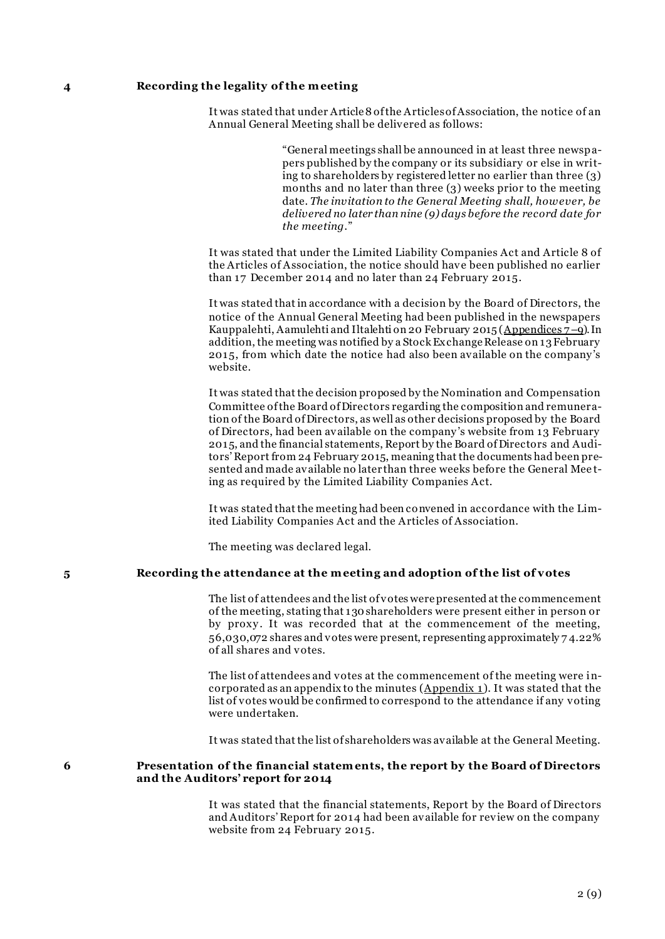### **4 Recording the legality of the m eeting**

It was stated that under Article 8 of the Articles of Association, the notice of an Annual General Meeting shall be delivered as follows:

> "General meetings shall be announced in at least three newspapers published by the company or its subsidiary or else in writing to shareholders by registered letter no earlier than three (3) months and no later than three (3) weeks prior to the meeting date. *The invitation to the General Meeting shall, however, be delivered no later than nine (9) days before the record date for the meeting.*"

It was stated that under the Limited Liability Companies Act and Article 8 of the Articles of Association, the notice should have been published no earlier than 17 December 2014 and no later than 24 February 2015.

It was stated that in accordance with a decision by the Board of Directors, the notice of the Annual General Meeting had been published in the newspapers Kauppalehti, Aamulehti and Iltalehti on 20 February 2015 (Appendices 7–9). In addition, the meeting was notified by a Stock Exchange Release on 13 February 2015, from which date the notice had also been available on the company 's website.

It was stated that the decision proposed by the Nomination and Compensation Committee of the Board of Directors regarding the composition and remuneration of the Board of Directors, as well as other decisions proposed by the Board of Directors, had been available on the company 's website from 13 February 2015, and the financial statements, Report by the Board of Directors and Auditors' Report from 24 February 2015, meaning that the documents had been presented and made available no later than three weeks before the General Mee ting as required by the Limited Liability Companies Act.

It was stated that the meeting had been convened in accordance with the Limited Liability Companies Act and the Articles of Association.

The meeting was declared legal.

### **5 Recording the attendance at the m eeting and adoption of the list of votes**

The list of attendees and the list of votes were presented at the commencement of the meeting, stating that 130 shareholders were present either in person or by proxy. It was recorded that at the commencement of the meeting, 56,030,072 shares and votes were present, representing approximately 7 4.22% of all shares and votes.

The list of attendees and votes at the commencement of the meeting were incorporated as an appendix to the minutes  $(\underline{Appendix 1})$ . It was stated that the list of votes would be confirmed to correspond to the attendance if any voting were undertaken.

It was stated that the list of shareholders was available at the General Meeting.

# **6 Presentation of the financial statem ents, the report by the Board of Directors and the Auditors' report for 2014**

It was stated that the financial statements, Report by the Board of Directors and Auditors' Report for 2014 had been available for review on the company website from 24 February 2015.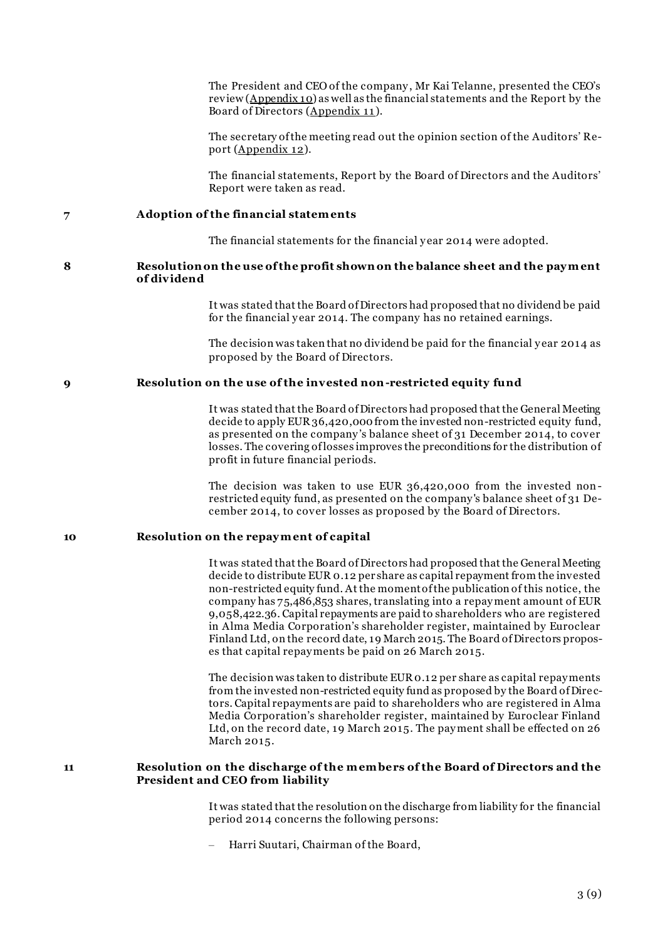The President and CEO of the company , Mr Kai Telanne, presented the CEO's review (Appendix 10) as well as the financial statements and the Report by the Board of Directors (Appendix 11 ).

The secretary of the meeting read out the opinion section of the Auditors' Report (Appendix 12).

The financial statements, Report by the Board of Directors and the Auditors' Report were taken as read.

**7 Adoption of the financial statem ents**

The financial statements for the financial y ear 2014 were adopted.

#### **8 Resolution on the use of the profit shown on the balance sheet and the pay m ent of dividend**

It was stated that the Board of Directors had proposed that no dividend be paid for the financial y ear 2014. The company has no retained earnings.

The decision was taken that no dividend be paid for the financial y ear 2014 as proposed by the Board of Directors.

### **9 Resolution on the use of the invested non-restricted equity fund**

It was stated that the Board of Directors had proposed that the General Meeting decide to apply EUR 36,420,000 from the invested non-restricted equity fund, as presented on the company 's balance sheet of 31 December 2014, to cover losses. The covering of losses improves the preconditions for the distribution of profit in future financial periods.

The decision was taken to use EUR 36,420,000 from the invested nonrestricted equity fund, as presented on the company 's balance sheet of 31 December 2014, to cover losses as proposed by the Board of Directors.

## **10 Resolution on the repay m ent of capital**

It was stated that the Board of Directors had proposed that the General Meeting decide to distribute EUR 0.12 per share as capital repayment from the invested non-restricted equity fund. At the moment of the publication of this notice, the company has 75,486,853 shares, translating into a repay ment amount of EUR 9,058,422.36. Capital repayments are paid to shareholders who are registered in Alma Media Corporation's shareholder register, maintained by Euroclear Finland Ltd, on the record date, 19 March 2015. The Board of Directors proposes that capital repay ments be paid on 26 March 2015.

The decision was taken to distribute EUR 0.12 per share as capital repay ments from the invested non-restricted equity fund as proposed by the Board of Dire ctors. Capital repayments are paid to shareholders who are registered in Alma Media Corporation's shareholder register, maintained by Euroclear Finland Ltd, on the record date, 19 March 2015. The pay ment shall be effected on 26 March 2015.

## **11 Resolution on the discharge of the m em bers of the Board of Directors and the President and CEO from liability**

It was stated that the resolution on the discharge from liability for the financial period 2014 concerns the following persons:

– Harri Suutari, Chairman of the Board,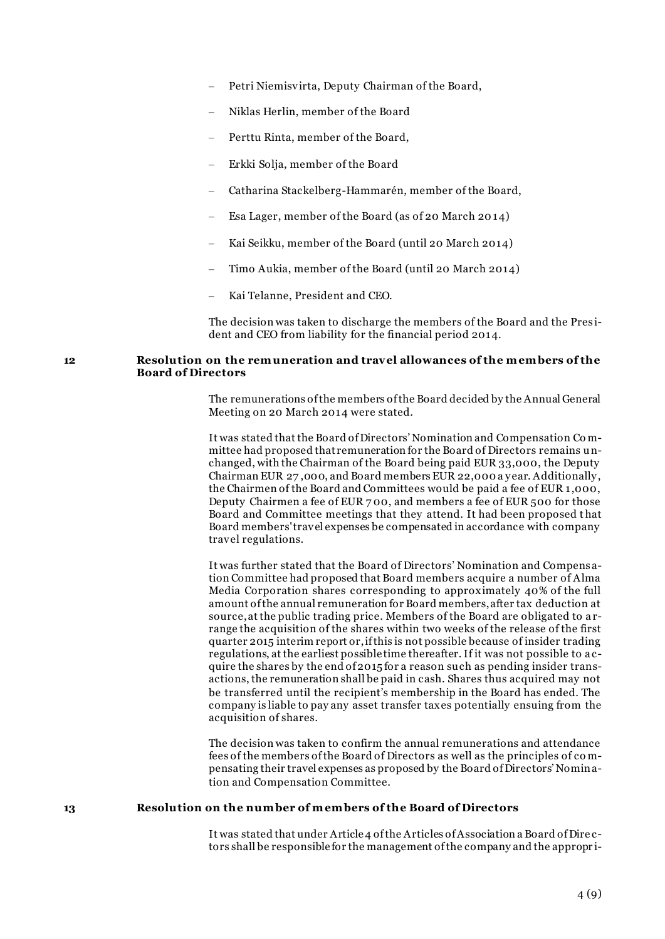- Petri Niemisvirta, Deputy Chairman of the Board,
- Niklas Herlin, member of the Board
- Perttu Rinta, member of the Board,
- Erkki Solja, member of the Board
- Catharina Stackelberg-Hammarén, member of the Board,
- Esa Lager, member of the Board (as of 20 March 2014)
- Kai Seikku, member of the Board (until 20 March 2014)
- Timo Aukia, member of the Board (until 20 March 2014)
- Kai Telanne, President and CEO.

The decision was taken to discharge the members of the Board and the Pres ident and CEO from liability for the financial period 2014.

### **12 Resolution on the rem uneration and travel allowances of the m em bers of the Board of Directors**

The remunerations of the members of the Board decided by the Annual General Meeting on 20 March 2014 were stated.

It was stated that the Board of Directors' Nomination and Compensation Co mmittee had proposed that remuneration for the Board of Directors remains unchanged, with the Chairman of the Board being paid EUR 33,000, the Deputy Chairman EUR 27 ,000, and Board members EUR 22,000 a y ear. Additionally , the Chairmen of the Board and Committees would be paid a fee of EUR 1,000, Deputy Chairmen a fee of EUR 7 00, and members a fee of EUR 500 for those Board and Committee meetings that they attend. It had been proposed t hat Board members' travel expenses be compensated in accordance with company travel regulations.

It was further stated that the Board of Directors' Nomination and Compens ation Committee had proposed that Board members acquire a number of Alma Media Corporation shares corresponding to approximately 40% of the full amount of the annual remuneration for Board members, after tax deduction at source, at the public trading price. Members of the Board are obligated to a rrange the acquisition of the shares within two weeks of the release of the first quarter 2015 interim report or, if this is not possible because of insider trading regulations, at the earliest possible time thereafter. If it was not possible to a cquire the shares by the end of 2015 for a reason such as pending insider transactions, the remuneration shall be paid in cash. Shares thus acquired may not be transferred until the recipient's membership in the Board has ended. The company is liable to pay any asset transfer taxes potentially ensuing from the acquisition of shares.

The decision was taken to confirm the annual remunerations and attendance fees of the members of the Board of Directors as well as the principles of co mpensating their travel expenses as proposed by the Board of Directors' Nomination and Compensation Committee.

### **13 Resolution on the num ber of m em bers of the Board of Directors**

It was stated that under Article 4 of the Articles of Association a Board of Dire ctors shall be responsible for the management of the company and the appropr i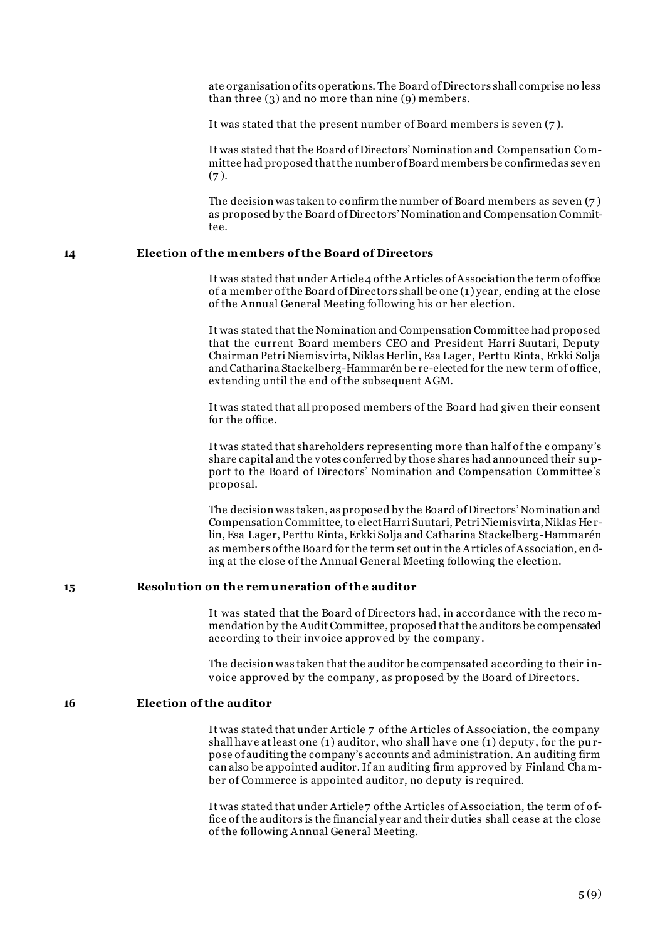ate organisation of its operations. The Board of Directors shall comprise no less than three (3) and no more than nine (9) members.

It was stated that the present number of Board members is seven (7 ).

It was stated that the Board of Directors' Nomination and Compensation Committee had proposed that the number of Board members be confirmed as seven  $(7).$ 

The decision was taken to confirm the number of Board members as seven (7 ) as proposed by the Board of Directors' Nomination and Compensation Committee.

# **14 Election of the m em bers of the Board of Directors**

It was stated that under Article 4 of the Articles of Association the term of office of a member of the Board of Directors shall be one (1) year, ending at the close of the Annual General Meeting following his or her election.

It was stated that the Nomination and Compensation Committee had proposed that the current Board members CEO and President Harri Suutari, Deputy Chairman Petri Niemisvirta, Niklas Herlin, Esa Lager, Perttu Rinta, Erkki Solja and Catharina Stackelberg-Hammarén be re-elected for the new term of office, extending until the end of the subsequent AGM.

It was stated that all proposed members of the Board had given their consent for the office.

It was stated that shareholders representing more than half of the c ompany 's share capital and the votes conferred by those shares had announced their support to the Board of Directors' Nomination and Compensation Committee's proposal.

The decision was taken, as proposed by the Board of Directors' Nomination and Compensation Committee, to elect Harri Suutari, Petri Niemisvirta, Niklas He rlin, Esa Lager, Perttu Rinta, Erkki Solja and Catharina Stackelberg-Hammarén as members of the Board for the term set out in the Articles of Association, ending at the close of the Annual General Meeting following the election.

#### **15 Resolution on the rem uneration of the auditor**

It was stated that the Board of Directors had, in accordance with the reco mmendation by the Audit Committee, proposed that the auditors be compensated according to their invoice approved by the company .

The decision was taken that the auditor be compensated according to their invoice approved by the company , as proposed by the Board of Directors.

# **16 Election of the auditor**

It was stated that under Article 7 of the Articles of Association, the company shall have at least one (1) auditor, who shall have one (1) deputy , for the pu rpose of auditing the company's accounts and administration. An auditing firm can also be appointed auditor. If an auditing firm approved by Finland Chamber of Commerce is appointed auditor, no deputy is required.

It was stated that under Article 7 of the Articles of Association, the term of o ffice of the auditors is the financial y ear and their duties shall cease at the close of the following Annual General Meeting.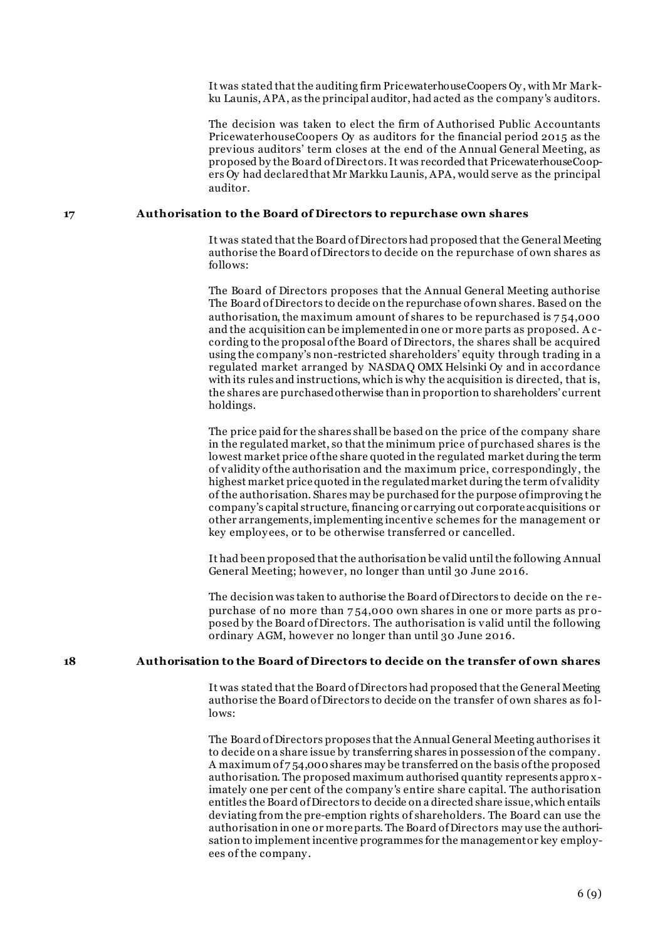It was stated that the auditing firm PricewaterhouseCoopers Oy , with Mr Mar kku Launis, APA, as the principal auditor, had acted as the company 's auditors.

The decision was taken to elect the firm of Authorised Public Accountants PricewaterhouseCoopers Oy as auditors for the financial period 2015 as the previous auditors' term closes at the end of the Annual General Meeting, as proposed by the Board of Directors. It was recorded that PricewaterhouseCoopers Oy had declared that Mr Markku Launis, APA, would serve as the principal auditor.

### **17 Authorisation to the Board of Directors to repurchase own shares**

It was stated that the Board of Directors had proposed that the General Meeting authorise the Board of Directors to decide on the repurchase of own shares as follows:

The Board of Directors proposes that the Annual General Meeting authorise The Board of Directors to decide on the repurchase of own shares. Based on the authorisation, the maximum amount of shares to be repurchased is 7 54,000 and the acquisition can be implemented in one or more parts as proposed. A ccording to the proposal of the Board of Directors, the shares shall be acquired using the company's non-restricted shareholders' equity through trading in a regulated market arranged by NASDAQ OMX Helsinki Oy and in accordance with its rules and instructions, which is why the acquisition is directed, that is, the shares are purchased otherwise than in proportion to shareholders' current holdings.

The price paid for the shares shall be based on the price of the company share in the regulated market, so that the minimum price of purchased shares is the lowest market price of the share quoted in the regulated market during the term of validity of the authorisation and the maximum price, correspondingly , the highest market price quoted in the regulated market during the term of validity of the authorisation. Shares may be purchased for the purpose of improving the company's capital structure, financing or carrying out corporate acquisitions or other arrangements, implementing incentive schemes for the management or key employ ees, or to be otherwise transferred or cancelled.

It had been proposed that the authorisation be valid until the following Annual General Meeting; however, no longer than until 30 June 2016.

The decision was taken to authorise the Board of Directors to decide on the r epurchase of no more than 7 54,000 own shares in one or more parts as pr oposed by the Board of Directors. The authorisation is valid until the following ordinary AGM, however no longer than until 30 June 2016.

### **18 Authorisation to the Board of Directors to decide on the transfer of own shares**

It was stated that the Board of Directors had proposed that the General Meeting authorise the Board of Directors to decide on the transfer of own shares as fo llows:

The Board of Directors proposes that the Annual General Meeting authorises it to decide on a share issue by transferring shares in possession of the company . A maximum of 7 54,000 shares may be transferred on the basis of the proposed authorisation. The proposed maximum authorised quantity represents appro ximately one per cent of the company 's entire share capital. The authorisation entitles the Board of Directors to decide on a directed share issue, which entails deviating from the pre-emption rights of shareholders. The Board can use the authorisation in one or more parts. The Board of Directors may use the authorisation to implement incentive programmes for the management or key employees of the company .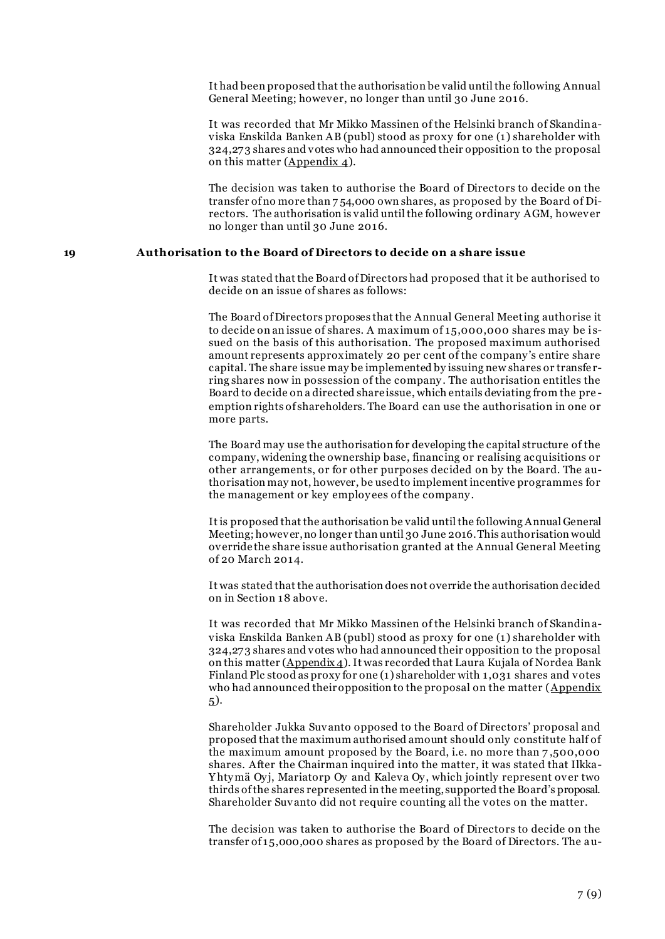It had been proposed that the authorisation be valid until the following Annual General Meeting; however, no longer than until 30 June 2016.

It was recorded that Mr Mikko Massinen of the Helsinki branch of Skandinaviska Enskilda Banken AB (publ) stood as proxy for one (1) shareholder with 324,273 shares and votes who had announced their opposition to the proposal on this matter (Appendix 4).

The decision was taken to authorise the Board of Directors to decide on the transfer of no more than 7 54,000 own shares, as proposed by the Board of Directors. The authorisation is valid until the following ordinary AGM, however no longer than until 30 June 2016.

### **19 Authorisation to the Board of Directors to decide on a share issue**

It was stated that the Board of Directors had proposed that it be authorised to decide on an issue of shares as follows:

The Board of Directors proposes that the Annual General Meeting authorise it to decide on an issue of shares. A maximum of 15,000,000 shares may be i ssued on the basis of this authorisation. The proposed maximum authorised amount represents approximately 20 per cent of the company 's entire share capital. The share issue may be implemented by issuing new shares or transfe rring shares now in possession of the company . The authorisation entitles the Board to decide on a directed share issue, which entails deviating from the pre emption rights of shareholders. The Board can use the authorisation in one or more parts.

The Board may use the authorisation for developing the capital structure of the company, widening the ownership base, financing or realising acquisitions or other arrangements, or for other purposes decided on by the Board. The authorisation may not, however, be used to implement incentive programmes for the management or key employees of the company.

It is proposed that the authorisation be valid until the following Annual General Meeting; however, no longer than until 30 June 2016. This authorisation would override the share issue authorisation granted at the Annual General Meeting of 20 March 2014.

It was stated that the authorisation does not override the authorisation decided on in Section 18 above.

It was recorded that Mr Mikko Massinen of the Helsinki branch of Skandinaviska Enskilda Banken AB (publ) stood as proxy for one (1) shareholder with 324,273 shares and votes who had announced their opposition to the proposal on this matter (Appendix 4). It was recorded that Laura Kujala of Nordea Bank Finland Plc stood as proxy for one (1) shareholder with 1,031 shares and votes who had announced their opposition to the proposal on the matter (Appendix 5).

Shareholder Jukka Suvanto opposed to the Board of Directors' proposal and proposed that the maximum authorised amount should only constitute half of the maximum amount proposed by the Board, i.e. no more than 7 ,500,000 shares. After the Chairman inquired into the matter, it was stated that Ilkka-Yhtymä Oyj, Mariatorp Oy and Kaleva Oy, which jointly represent over two thirds of the shares represented in the meeting, supported the Board's proposal. Shareholder Suvanto did not require counting all the votes on the matter.

The decision was taken to authorise the Board of Directors to decide on the transfer of 15,000,000 shares as proposed by the Board of Directors. The au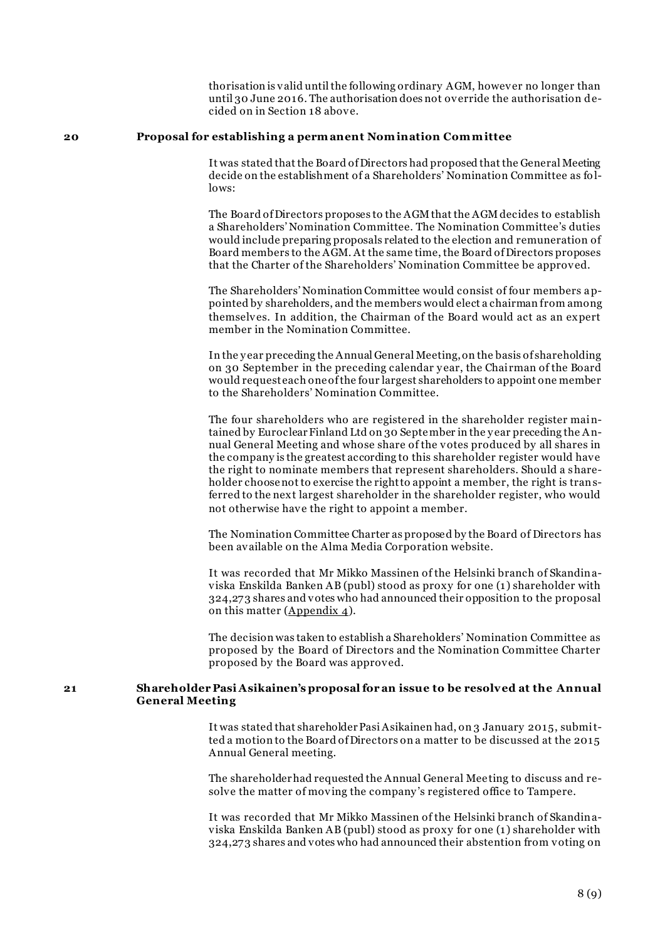thorisation is valid until the following ordinary AGM, however no longer than until 30 June 2016. The authorisation does not override the authorisation decided on in Section 18 above.

#### **20 Proposal for establishing a perm anent Nom ination Com m ittee**

It was stated that the Board of Directors had proposed that the General Meeting decide on the establishment of a Shareholders' Nomination Committee as fo llows:

The Board of Directors proposes to the AGM that the AGM decides to establish a Shareholders' Nomination Committee. The Nomination Committee's duties would include preparing proposals related to the election and remuneration of Board members to the AGM. At the same time, the Board of Directors proposes that the Charter of the Shareholders' Nomination Committee be approved.

The Shareholders' Nomination Committee would consist of four members appointed by shareholders, and the members would elect a chairman from among themselves. In addition, the Chairman of the Board would act as an expert member in the Nomination Committee.

In the y ear preceding the Annual General Meeting, on the basis of shareholding on 30 September in the preceding calendar year, the Chairman of the Board would request each one of the four largest shareholders to appoint one member to the Shareholders' Nomination Committee.

The four shareholders who are registered in the shareholder register maintained by Euroclear Finland Ltd on 30 September in the y ear preceding the Annual General Meeting and whose share of the votes produced by all shares in the company is the greatest according to this shareholder register would have the right to nominate members that represent shareholders. Should a shareholder choose not to exercise the right to appoint a member, the right is transferred to the next largest shareholder in the shareholder register, who would not otherwise have the right to appoint a member.

The Nomination Committee Charter as proposed by the Board of Directors has been available on the Alma Media Corporation website.

It was recorded that Mr Mikko Massinen of the Helsinki branch of Skandinaviska Enskilda Banken AB (publ) stood as proxy for one (1) shareholder with 324,273 shares and votes who had announced their opposition to the proposal on this matter (Appendix 4).

The decision was taken to establish a Shareholders' Nomination Committee as proposed by the Board of Directors and the Nomination Committee Charter proposed by the Board was approved.

## **21 Shareholder Pasi Asikainen's proposal for an issue to be resolved at the Annual General Meeting**

It was stated that shareholder Pasi Asikainen had, on 3 January 2015, submitted a motion to the Board of Directors on a matter to be discussed at the 2015 Annual General meeting.

The shareholder had requested the Annual General Mee ting to discuss and resolve the matter of moving the company 's registered office to Tampere.

It was recorded that Mr Mikko Massinen of the Helsinki branch of Skandinaviska Enskilda Banken AB (publ) stood as proxy for one (1) shareholder with 324,273 shares and votes who had announced their abstention from voting on